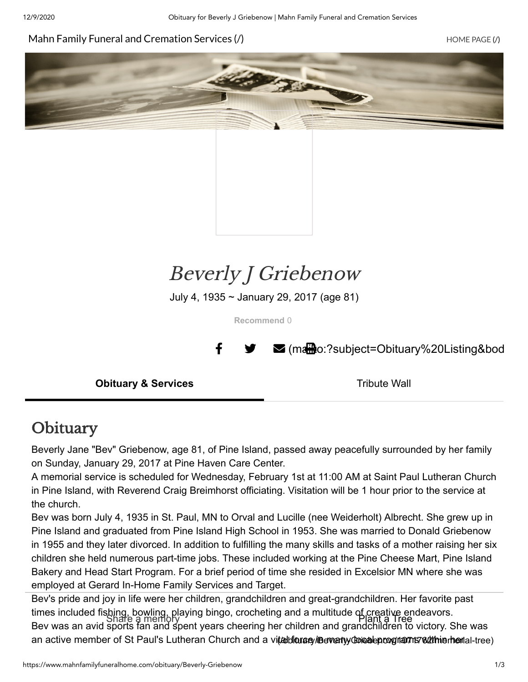#### Mahn Family Funeral [and Cremation](https://www.mahnfamilyfuneralhome.com/) Services (/) Nahn Family Bunder (/) [HOME PAGE](https://www.mahnfamilyfuneralhome.com/) (/)





# Beverly J Griebenow

July 4, 1935 ~ January 29, 2017 (age 81)

**Recommend** 0

■ [\(mailto:?subject=Obituary%20Listing&bod](mailto:?subject=Obituary%20Listing&body=Obituary%20posted%20for%20Beverly%20%20J%20Griebenow.%20%20See%20http%3A%2F%2Fwww.mahnfamilyfuneralhome.com%2Fobituary%2FBeverly-Griebenow)

**Obituary & Services** Tribute Wall

### **Obituary**

Beverly Jane "Bev" Griebenow, age 81, of Pine Island, passed away peacefully surrounded by her family on Sunday, January 29, 2017 at Pine Haven Care Center.

A memorial service is scheduled for Wednesday, February 1st at 11:00 AM at Saint Paul Lutheran Church in Pine Island, with Reverend Craig Breimhorst officiating. Visitation will be 1 hour prior to the service at the church.

Bev was born July 4, 1935 in St. Paul, MN to Orval and Lucille (nee Weiderholt) Albrecht. She grew up in Pine Island and graduated from Pine Island High School in 1953. She was married to Donald Griebenow in 1955 and they later divorced. In addition to fulfilling the many skills and tasks of a mother raising her six children she held numerous part-time jobs. These included working at the Pine Cheese Mart, Pine Island Bakery and Head Start Program. For a brief period of time she resided in Excelsior MN where she was employed at Gerard In-Home Family Services and Target.

Bev's pride and joy in life were her children, grandchildren and great-grandchildren. Her favorite past times included fishing, bowling, playing bingo, crocheting and a multitude of creative endeavors. Share a memory Plant a Tree Bev was an avid sports fan and spent years cheering her children and grandchildren to victory. She was an active member of St Paul's Lutheran Church and a vi**talbionaey iBeverlyy obiealeproognams withierhen**ial-tree)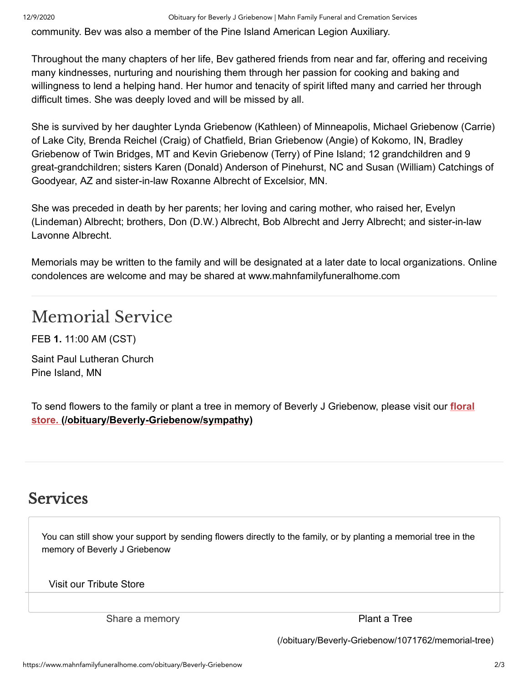community. Bev was also a member of the Pine Island American Legion Auxiliary.

Throughout the many chapters of her life, Bev gathered friends from near and far, offering and receiving many kindnesses, nurturing and nourishing them through her passion for cooking and baking and willingness to lend a helping hand. Her humor and tenacity of spirit lifted many and carried her through difficult times. She was deeply loved and will be missed by all.

She is survived by her daughter Lynda Griebenow (Kathleen) of Minneapolis, Michael Griebenow (Carrie) of Lake City, Brenda Reichel (Craig) of Chatfield, Brian Griebenow (Angie) of Kokomo, IN, Bradley Griebenow of Twin Bridges, MT and Kevin Griebenow (Terry) of Pine Island; 12 grandchildren and 9 great-grandchildren; sisters Karen (Donald) Anderson of Pinehurst, NC and Susan (William) Catchings of Goodyear, AZ and sister-in-law Roxanne Albrecht of Excelsior, MN.

She was preceded in death by her parents; her loving and caring mother, who raised her, Evelyn (Lindeman) Albrecht; brothers, Don (D.W.) Albrecht, Bob Albrecht and Jerry Albrecht; and sister-in-law Lavonne Albrecht.

Memorials may be written to the family and will be designated at a later date to local organizations. Online condolences are welcome and may be shared at www.mahnfamilyfuneralhome.com

## Memorial Service

FEB **1.** 11:00 AM (CST)

Saint Paul Lutheran Church Pine Island, MN

To send flowers to the family or plant a tree in memory of Beverly J Griebenow, please visit our **floral store. [\(/obituary/Beverly-Griebenow/sympathy\)](https://www.mahnfamilyfuneralhome.com/obituary/Beverly-Griebenow/sympathy)**

#### Services

You can still show your support by sending flowers directly to the family, or by planting a memorial tree in the memory of Beverly J Griebenow

Visit our Tribute Store

Share a memory expression of the Plant a Tree

[\(/obituary/Beverly-Griebenow/1071762/memorial-tree\)](https://www.mahnfamilyfuneralhome.com/obituary/Beverly-Griebenow/1071762/memorial-tree)